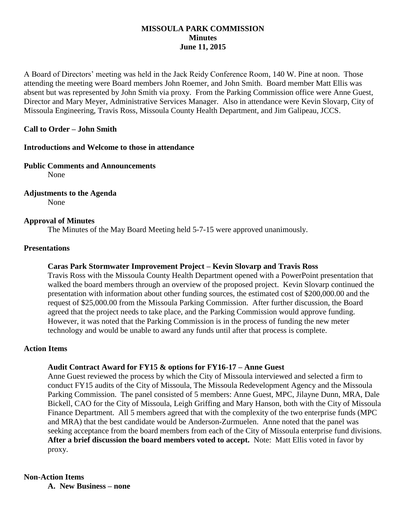## **MISSOULA PARK COMMISSION Minutes June 11, 2015**

A Board of Directors' meeting was held in the Jack Reidy Conference Room, 140 W. Pine at noon. Those attending the meeting were Board members John Roemer, and John Smith. Board member Matt Ellis was absent but was represented by John Smith via proxy. From the Parking Commission office were Anne Guest, Director and Mary Meyer, Administrative Services Manager. Also in attendance were Kevin Slovarp, City of Missoula Engineering, Travis Ross, Missoula County Health Department, and Jim Galipeau, JCCS.

## **Call to Order – John Smith**

## **Introductions and Welcome to those in attendance**

## **Public Comments and Announcements**

None

# **Adjustments to the Agenda**

None

## **Approval of Minutes**

The Minutes of the May Board Meeting held 5-7-15 were approved unanimously.

## **Presentations**

# **Caras Park Stormwater Improvement Project – Kevin Slovarp and Travis Ross**

Travis Ross with the Missoula County Health Department opened with a PowerPoint presentation that walked the board members through an overview of the proposed project. Kevin Slovarp continued the presentation with information about other funding sources, the estimated cost of \$200,000.00 and the request of \$25,000.00 from the Missoula Parking Commission. After further discussion, the Board agreed that the project needs to take place, and the Parking Commission would approve funding. However, it was noted that the Parking Commission is in the process of funding the new meter technology and would be unable to award any funds until after that process is complete.

## **Action Items**

# **Audit Contract Award for FY15 & options for FY16-17 – Anne Guest**

Anne Guest reviewed the process by which the City of Missoula interviewed and selected a firm to conduct FY15 audits of the City of Missoula, The Missoula Redevelopment Agency and the Missoula Parking Commission. The panel consisted of 5 members: Anne Guest, MPC, Jilayne Dunn, MRA, Dale Bickell, CAO for the City of Missoula, Leigh Griffing and Mary Hanson, both with the City of Missoula Finance Department. All 5 members agreed that with the complexity of the two enterprise funds (MPC and MRA) that the best candidate would be Anderson-Zurmuelen. Anne noted that the panel was seeking acceptance from the board members from each of the City of Missoula enterprise fund divisions. **After a brief discussion the board members voted to accept.** Note: Matt Ellis voted in favor by proxy.

# **Non-Action Items**

**A. New Business – none**